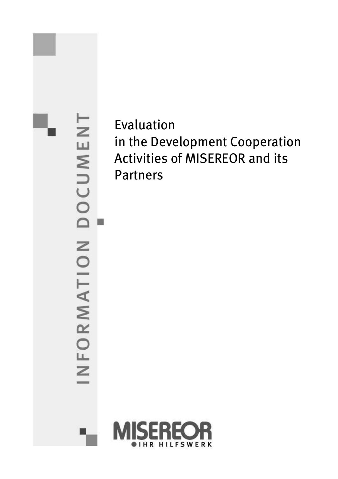INFORMATION DOCUMENT II.

*Evaluation in the Development Cooperation Activities of MISEREOR and its Partners*

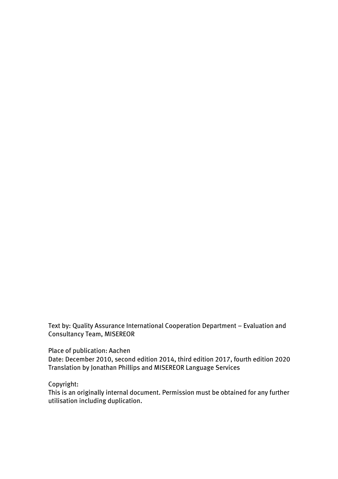*Text by: Quality Assurance International Cooperation Department - Evaluation and Consultancy Team, MISEREOR*

*Place of publication: Aachen*

*Date: December 2010, second edition 2014, third edition 2017, fourth edition 2020 Translation by Jonathan Phillips and MISEREOR Language Services*

*Copyright:*

*This is an originally internal document. Permission must be obtained for any further utilisation including duplication.*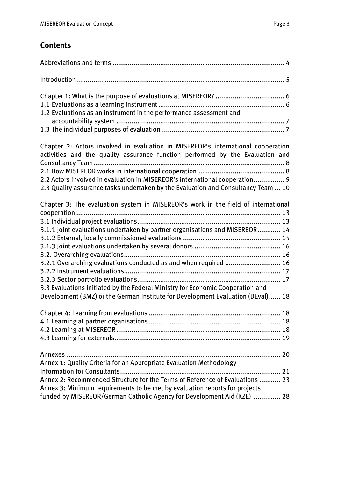# *Contents*

| 1.2 Evaluations as an instrument in the performance assessment and                                                                                                                                                                                                                                                                                                                                        |
|-----------------------------------------------------------------------------------------------------------------------------------------------------------------------------------------------------------------------------------------------------------------------------------------------------------------------------------------------------------------------------------------------------------|
| Chapter 2: Actors involved in evaluation in MISEREOR's international cooperation<br>activities and the quality assurance function performed by the Evaluation and<br>2.2 Actors involved in evaluation in MISEREOR's international cooperation 9<br>2.3 Quality assurance tasks undertaken by the Evaluation and Consultancy Team  10                                                                     |
| Chapter 3: The evaluation system in MISEREOR's work in the field of international<br>3.1.1 Joint evaluations undertaken by partner organisations and MISEREOR 14<br>3.2.1 Overarching evaluations conducted as and when required  16<br>3.3 Evaluations initiated by the Federal Ministry for Economic Cooperation and<br>Development (BMZ) or the German Institute for Development Evaluation (DEval) 18 |
| Chapter 4: Learning from evaluations<br>18                                                                                                                                                                                                                                                                                                                                                                |
| Annex 1: Quality Criteria for an Appropriate Evaluation Methodology -<br>Annex 2: Recommended Structure for the Terms of Reference of Evaluations  23<br>Annex 3: Minimum requirements to be met by evaluation reports for projects<br>funded by MISEREOR/German Catholic Agency for Development Aid (KZE)  28                                                                                            |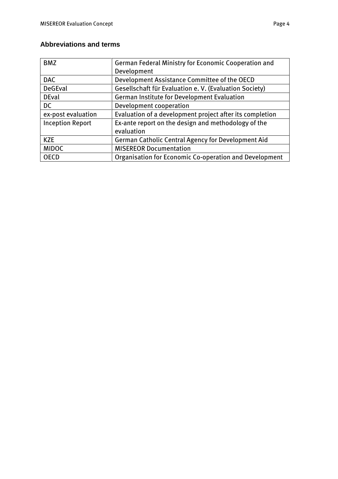## **Abbreviations and terms**

| <b>BMZ</b>              | <b>German Federal Ministry for Economic Cooperation and</b> |  |
|-------------------------|-------------------------------------------------------------|--|
|                         | Development                                                 |  |
| <b>DAC</b>              | Development Assistance Committee of the OECD                |  |
| <b>DeGEval</b>          | Gesellschaft für Evaluation e. V. (Evaluation Society)      |  |
| <b>DEval</b>            | <b>German Institute for Development Evaluation</b>          |  |
| <b>DC</b>               | Development cooperation                                     |  |
| ex-post evaluation      | Evaluation of a development project after its completion    |  |
| <b>Inception Report</b> | Ex-ante report on the design and methodology of the         |  |
|                         | evaluation                                                  |  |
| <b>KZE</b>              | <b>German Catholic Central Agency for Development Aid</b>   |  |
| <b>MIDOC</b>            | <b>MISEREOR Documentation</b>                               |  |
| <b>OECD</b>             | Organisation for Economic Co-operation and Development      |  |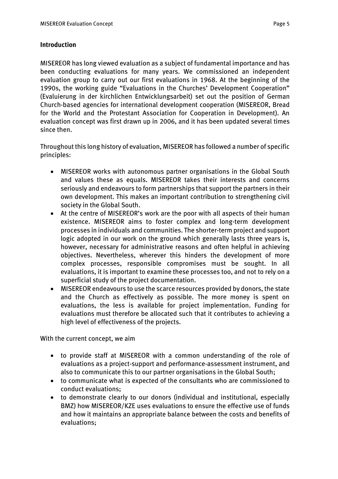### *Introduction*

*MISEREOR has long viewed evaluation as a subject of fundamental importance and has been conducting evaluations for many years. We commissioned an independent evaluation group to carry out our first evaluations in 1968. At the beginning of the 1990s, the working guide "Evaluations in the Churches' Development Cooperation" (Evaluierung in der kirchlichen Entwicklungsarbeit) set out the position of German Church-based agencies for international development cooperation (MISEREOR, Bread for the World and the Protestant Association for Cooperation in Development). An evaluation concept was first drawn up in 2006, and it has been updated several times since then.*

*Throughout this long history of evaluation, MISEREOR has followed a number of specific principles:*

- *MISEREOR works with autonomous partner organisations in the Global South and values these as equals. MISEREOR takes their interests and concerns seriously and endeavours to form partnerships that support the partners in their own development. This makes an important contribution to strengthening civil society in the Global South.*
- *At the centre of MISEREOR's work are the poor with all aspects of their human existence. MISEREOR aims to foster complex and long-term development processes in individuals and communities. The shorter-term project and support logic adopted in our work on the ground which generally lasts three years is, however, necessary for administrative reasons and often helpful in achieving objectives. Nevertheless, wherever this hinders the development of more complex processes, responsible compromises must be sought. In all evaluations, it is important to examine these processes too, and not to rely on a superficial study of the project documentation.*
- *MISEREOR endeavours to use the scarce resources provided by donors, the state and the Church as effectively as possible. The more money is spent on evaluations, the less is available for project implementation. Funding for evaluations must therefore be allocated such that it contributes to achieving a high level of effectiveness of the projects.*

*With the current concept, we aim* 

- *to provide staff at MISEREOR with a common understanding of the role of evaluations as a project-support and performance-assessment instrument, and also to communicate this to our partner organisations in the Global South;*
- *to communicate what is expected of the consultants who are commissioned to conduct evaluations;*
- *to demonstrate clearly to our donors (individual and institutional, especially BMZ) how MISEREOR/KZE uses evaluations to ensure the effective use of funds and how it maintains an appropriate balance between the costs and benefits of evaluations;*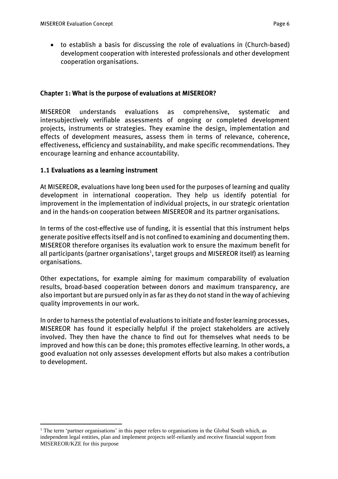• *to establish a basis for discussing the role of evaluations in (Church-based) development cooperation with interested professionals and other development cooperation organisations.*

## *Chapter 1: What is the purpose of evaluations at MISEREOR?*

*MISEREOR understands evaluations as comprehensive, systematic and intersubjectively verifiable assessments of ongoing or completed development projects, instruments or strategies. They examine the design, implementation and effects of development measures, assess them in terms of relevance, coherence, effectiveness, efficiency and sustainability, and make specific recommendations. They encourage learning and enhance accountability.*

## *1.1 Evaluations as a learning instrument*

 $\overline{a}$ 

*At MISEREOR, evaluations have long been used for the purposes of learning and quality development in international cooperation. They help us identify potential for improvement in the implementation of individual projects, in our strategic orientation and in the hands-on cooperation between MISEREOR and its partner organisations.* 

*In terms of the cost-effective use of funding, it is essential that this instrument helps generate positive effects itself and is not confined to examining and documenting them. MISEREOR therefore organises its evaluation work to ensure the maximum benefit for all participants (partner organisations<sup>1</sup> , target groups and MISEREOR itself) as learning organisations.*

*Other expectations, for example aiming for maximum comparability of evaluation results, broad-based cooperation between donors and maximum transparency, are also important but are pursued only in as far as they do not stand in the way of achieving quality improvements in our work.* 

*In order to harness the potential of evaluations to initiate and foster learning processes, MISEREOR has found it especially helpful if the project stakeholders are actively involved. They then have the chance to find out for themselves what needs to be improved and how this can be done; this promotes effective learning. In other words, a good evaluation not only assesses development efforts but also makes a contribution to development.* 

<sup>&</sup>lt;sup>1</sup> The term 'partner organisations' in this paper refers to organisations in the Global South which, as independent legal entities, plan and implement projects self-reliantly and receive financial support from MISEREOR/KZE for this purpose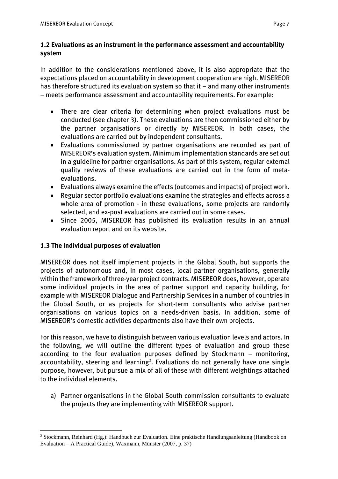## *1.2 Evaluations as an instrument in the performance assessment and accountability system*

*In addition to the considerations mentioned above, it is also appropriate that the expectations placed on accountability in development cooperation are high. MISEREOR has therefore structured its evaluation system so that it – and many other instruments – meets performance assessment and accountability requirements. For example:*

- *There are clear criteria for determining when project evaluations must be conducted (see chapter 3). These evaluations are then commissioned either by the partner organisations or directly by MISEREOR. In both cases, the evaluations are carried out by independent consultants.*
- *Evaluations commissioned by partner organisations are recorded as part of MISEREOR's evaluation system. Minimum implementation standards are set out in a guideline for partner organisations. As part of this system, regular external quality reviews of these evaluations are carried out in the form of metaevaluations.*
- *Evaluations always examine the effects (outcomes and impacts) of project work.*
- *Regular sector portfolio evaluations examine the strategies and effects across a whole area of promotion - in these evaluations, some projects are randomly selected, and ex-post evaluations are carried out in some cases.*
- *Since 2005, MISEREOR has published its evaluation results in an annual evaluation report and on its website.*

## *1.3 The individual purposes of evaluation*

*MISEREOR does not itself implement projects in the Global South, but supports the projects of autonomous and, in most cases, local partner organisations, generally within the framework of three-year project contracts. MISEREOR does, however, operate some individual projects in the area of partner support and capacity building, for example with MISEREOR Dialogue and Partnership Services in a number of countries in the Global South, or as projects for short-term consultants who advise partner organisations on various topics on a needs-driven basis. In addition, some of MISEREOR's domestic activities departments also have their own projects.*

*For this reason, we have to distinguish between various evaluation levels and actors. In the following, we will outline the different types of evaluation and group these according to the four evaluation purposes defined by Stockmann – monitoring, accountability, steering and learning<sup>2</sup> . Evaluations do not generally have one single purpose, however, but pursue a mix of all of these with different weightings attached to the individual elements.*

*a) Partner organisations in the Global South commission consultants to evaluate the projects they are implementing with MISEREOR support.*

 $\overline{a}$ <sup>2</sup> Stockmann, Reinhard (Hg.): Handbuch zur Evaluation. Eine praktische Handlungsanleitung (Handbook on Evaluation – A Practical Guide), Waxmann, Münster (2007, p. 37)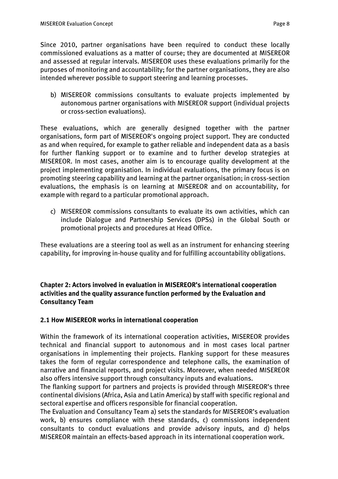*Since 2010, partner organisations have been required to conduct these locally commissioned evaluations as a matter of course; they are documented at MISEREOR and assessed at regular intervals. MISEREOR uses these evaluations primarily for the purposes of monitoring and accountability; for the partner organisations, they are also intended wherever possible to support steering and learning processes.* 

*b) MISEREOR commissions consultants to evaluate projects implemented by autonomous partner organisations with MISEREOR support (individual projects or cross-section evaluations).*

*These evaluations, which are generally designed together with the partner organisations, form part of MISEREOR's ongoing project support. They are conducted as and when required, for example to gather reliable and independent data as a basis for further flanking support or to examine and to further develop strategies at MISEREOR. In most cases, another aim is to encourage quality development at the project implementing organisation. In individual evaluations, the primary focus is on promoting steering capability and learning at the partner organisation; in cross-section evaluations, the emphasis is on learning at MISEREOR and on accountability, for example with regard to a particular promotional approach.*

*c) MISEREOR commissions consultants to evaluate its own activities, which can include Dialogue and Partnership Services (DPSs) in the Global South or promotional projects and procedures at Head Office.*

*These evaluations are a steering tool as well as an instrument for enhancing steering capability, for improving in-house quality and for fulfilling accountability obligations.*

*Chapter 2: Actors involved in evaluation in MISEREOR's international cooperation activities and the quality assurance function performed by the Evaluation and Consultancy Team*

## *2.1 How MISEREOR works in international cooperation*

*Within the framework of its international cooperation activities, MISEREOR provides technical and financial support to autonomous and in most cases local partner organisations in implementing their projects. Flanking support for these measures takes the form of regular correspondence and telephone calls, the examination of narrative and financial reports, and project visits. Moreover, when needed MISEREOR also offers intensive support through consultancy inputs and evaluations.* 

*The flanking support for partners and projects is provided through MISEREOR's three continental divisions (Africa, Asia and Latin America) by staff with specific regional and sectoral expertise and officers responsible for financial cooperation.* 

*The Evaluation and Consultancy Team a) sets the standards for MISEREOR's evaluation work, b) ensures compliance with these standards, c) commissions independent consultants to conduct evaluations and provide advisory inputs, and d) helps MISEREOR maintain an effects-based approach in its international cooperation work.*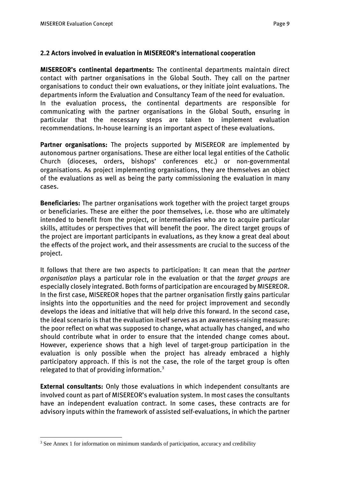### *2.2 Actors involved in evaluation in MISEREOR's international cooperation*

*MISEREOR's continental departments: The continental departments maintain direct contact with partner organisations in the Global South. They call on the partner organisations to conduct their own evaluations, or they initiate joint evaluations. The departments inform the Evaluation and Consultancy Team of the need for evaluation. In the evaluation process, the continental departments are responsible for communicating with the partner organisations in the Global South, ensuring in particular that the necessary steps are taken to implement evaluation recommendations. In-house learning is an important aspect of these evaluations.*

*Partner organisations: The projects supported by MISEREOR are implemented by autonomous partner organisations. These are either local legal entities of the Catholic Church (dioceses, orders, bishops' conferences etc.) or non-governmental organisations. As project implementing organisations, they are themselves an object of the evaluations as well as being the party commissioning the evaluation in many cases.*

*Beneficiaries: The partner organisations work together with the project target groups or beneficiaries. These are either the poor themselves, i.e. those who are ultimately intended to benefit from the project, or intermediaries who are to acquire particular skills, attitudes or perspectives that will benefit the poor. The direct target groups of the project are important participants in evaluations, as they know a great deal about the effects of the project work, and their assessments are crucial to the success of the project.*

*It follows that there are two aspects to participation: It can mean that the partner organisation plays a particular role in the evaluation or that the target groups are especially closely integrated. Both forms of participation are encouraged by MISEREOR. In the first case, MISEREOR hopes that the partner organisation firstly gains particular insights into the opportunities and the need for project improvement and secondly develops the ideas and initiative that will help drive this forward. In the second case, the ideal scenario is that the evaluation itself serves as an awareness-raising measure: the poor reflect on what was supposed to change, what actually has changed, and who should contribute what in order to ensure that the intended change comes about. However, experience shows that a high level of target-group participation in the evaluation is only possible when the project has already embraced a highly participatory approach. If this is not the case, the role of the target group is often relegated to that of providing information.<sup>3</sup>*

*External consultants: Only those evaluations in which independent consultants are involved count as part of MISEREOR's evaluation system. In most cases the consultants have an independent evaluation contract. In some cases, these contracts are for advisory inputs within the framework of assisted self-evaluations, in which the partner* 

<sup>&</sup>lt;sup>3</sup> See Annex 1 for information on minimum standards of participation, accuracy and credibility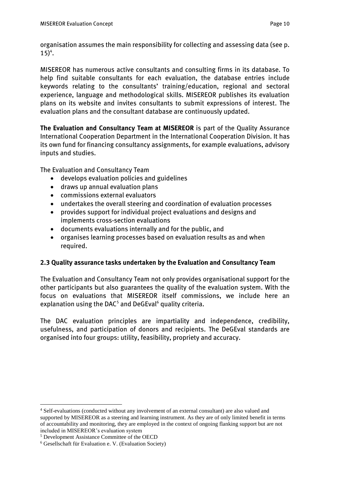*organisation assumes the main responsibility for collecting and assessing data (see p. 15)<sup>4</sup> .*

*MISEREOR has numerous active consultants and consulting firms in its database. To help find suitable consultants for each evaluation, the database entries include keywords relating to the consultants' training/education, regional and sectoral experience, language and methodological skills. MISEREOR publishes its evaluation plans on its website and invites consultants to submit expressions of interest. The evaluation plans and the consultant database are continuously updated.*

*The Evaluation and Consultancy Team at MISEREOR is part of the Quality Assurance International Cooperation Department in the International Cooperation Division. It has its own fund for financing consultancy assignments, for example evaluations, advisory inputs and studies.*

*The Evaluation and Consultancy Team*

- *develops evaluation policies and guidelines*
- *draws up annual evaluation plans*
- *commissions external evaluators*
- *undertakes the overall steering and coordination of evaluation processes*
- *provides support for individual project evaluations and designs and implements cross-section evaluations*
- *documents evaluations internally and for the public, and*
- *organises learning processes based on evaluation results as and when required.*

## *2.3 Quality assurance tasks undertaken by the Evaluation and Consultancy Team*

*The Evaluation and Consultancy Team not only provides organisational support for the other participants but also guarantees the quality of the evaluation system. With the focus on evaluations that MISEREOR itself commissions, we include here an explanation using the DAC<sup>5</sup> and DeGEval<sup>6</sup> quality criteria.*

*The DAC evaluation principles are impartiality and independence, credibility, usefulness, and participation of donors and recipients. The DeGEval standards are organised into four groups: utility, feasibility, propriety and accuracy.*

<sup>4</sup> Self-evaluations (conducted without any involvement of an external consultant) are also valued and supported by MISEREOR as a steering and learning instrument. As they are of only limited benefit in terms of accountability and monitoring, they are employed in the context of ongoing flanking support but are not included in MISEREOR's evaluation system

<sup>5</sup> Development Assistance Committee of the OECD

<sup>6</sup> Gesellschaft für Evaluation e. V. (Evaluation Society)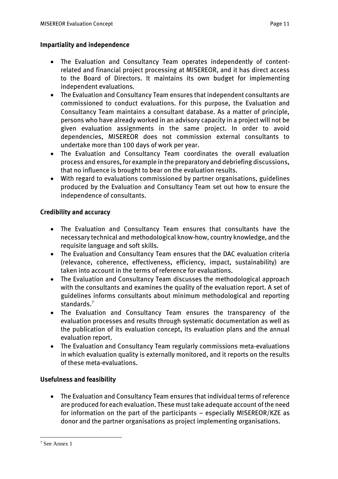## *Impartiality and independence*

- *The Evaluation and Consultancy Team operates independently of contentrelated and financial project processing at MISEREOR, and it has direct access to the Board of Directors. It maintains its own budget for implementing independent evaluations.*
- *The Evaluation and Consultancy Team ensures that independent consultants are commissioned to conduct evaluations. For this purpose, the Evaluation and Consultancy Team maintains a consultant database. As a matter of principle, persons who have already worked in an advisory capacity in a project will not be given evaluation assignments in the same project. In order to avoid dependencies, MISEREOR does not commission external consultants to undertake more than 100 days of work per year.*
- *The Evaluation and Consultancy Team coordinates the overall evaluation process and ensures, for example in the preparatory and debriefing discussions, that no influence is brought to bear on the evaluation results.*
- *With regard to evaluations commissioned by partner organisations, guidelines produced by the Evaluation and Consultancy Team set out how to ensure the independence of consultants.*

## *Credibility and accuracy*

- *The Evaluation and Consultancy Team ensures that consultants have the necessary technical and methodological know-how, country knowledge, and the requisite language and soft skills.*
- *The Evaluation and Consultancy Team ensures that the DAC evaluation criteria (relevance, coherence, effectiveness, efficiency, impact, sustainability) are taken into account in the terms of reference for evaluations.*
- *The Evaluation and Consultancy Team discusses the methodological approach with the consultants and examines the quality of the evaluation report. A set of guidelines informs consultants about minimum methodological and reporting standards.<sup>7</sup>*
- *The Evaluation and Consultancy Team ensures the transparency of the evaluation processes and results through systematic documentation as well as the publication of its evaluation concept, its evaluation plans and the annual evaluation report.*
- *The Evaluation and Consultancy Team regularly commissions meta-evaluations in which evaluation quality is externally monitored, and it reports on the results of these meta-evaluations.*

## *Usefulness and feasibility*

• *The Evaluation and Consultancy Team ensures that individual terms of reference are produced for each evaluation. These must take adequate account of the need for information on the part of the participants – especially MISEREOR/KZE as donor and the partner organisations as project implementing organisations.*

<sup>7</sup> See Annex 1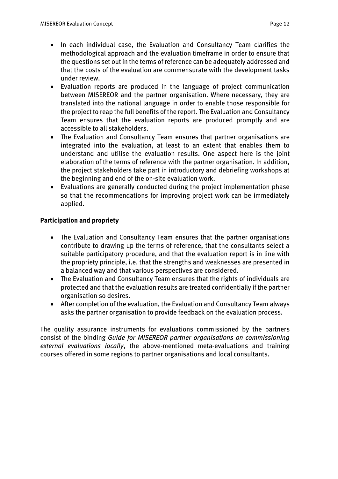- *In each individual case, the Evaluation and Consultancy Team clarifies the methodological approach and the evaluation timeframe in order to ensure that the questions set out in the terms of reference can be adequately addressed and that the costs of the evaluation are commensurate with the development tasks under review.*
- *Evaluation reports are produced in the language of project communication between MISEREOR and the partner organisation. Where necessary, they are translated into the national language in order to enable those responsible for the project to reap the full benefits of the report. The Evaluation and Consultancy Team ensures that the evaluation reports are produced promptly and are accessible to all stakeholders.*
- *The Evaluation and Consultancy Team ensures that partner organisations are integrated into the evaluation, at least to an extent that enables them to understand and utilise the evaluation results. One aspect here is the joint elaboration of the terms of reference with the partner organisation. In addition, the project stakeholders take part in introductory and debriefing workshops at the beginning and end of the on-site evaluation work.*
- *Evaluations are generally conducted during the project implementation phase so that the recommendations for improving project work can be immediately applied.*

## *Participation and propriety*

- *The Evaluation and Consultancy Team ensures that the partner organisations contribute to drawing up the terms of reference, that the consultants select a suitable participatory procedure, and that the evaluation report is in line with the propriety principle, i.e. that the strengths and weaknesses are presented in a balanced way and that various perspectives are considered.*
- *The Evaluation and Consultancy Team ensures that the rights of individuals are protected and that the evaluation results are treated confidentially if the partner organisation so desires.*
- *After completion of the evaluation, the Evaluation and Consultancy Team always asks the partner organisation to provide feedback on the evaluation process.*

*The quality assurance instruments for evaluations commissioned by the partners consist of the binding Guide for MISEREOR partner organisations on commissioning external evaluations locally, the above-mentioned meta-evaluations and training courses offered in some regions to partner organisations and local consultants.*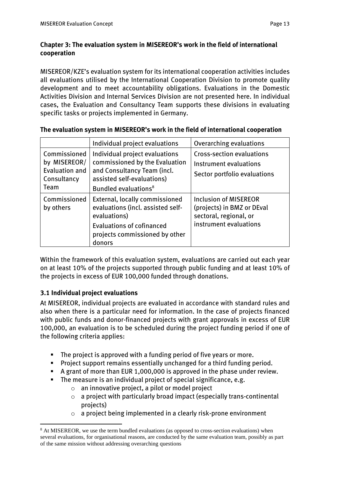## *Chapter 3: The evaluation system in MISEREOR's work in the field of international cooperation*

*MISEREOR/KZE's evaluation system for its international cooperation activities includes all evaluations utilised by the International Cooperation Division to promote quality development and to meet accountability obligations. Evaluations in the Domestic Activities Division and Internal Services Division are not presented here. In individual cases, the Evaluation and Consultancy Team supports these divisions in evaluating specific tasks or projects implemented in Germany.*

|                                                                              | Individual project evaluations                                                                                                                                      | Overarching evaluations                                                                                        |
|------------------------------------------------------------------------------|---------------------------------------------------------------------------------------------------------------------------------------------------------------------|----------------------------------------------------------------------------------------------------------------|
| Commissioned<br>by MISEREOR/<br><b>Evaluation and</b><br>Consultancy<br>Team | Individual project evaluations<br>commissioned by the Evaluation<br>and Consultancy Team (incl.<br>assisted self-evaluations)<br>Bundled evaluations <sup>8</sup>   | Cross-section evaluations<br>Instrument evaluations<br>Sector portfolio evaluations                            |
| Commissioned<br>by others                                                    | External, locally commissioned<br>evaluations (incl. assisted self-<br>evaluations)<br><b>Evaluations of cofinanced</b><br>projects commissioned by other<br>donors | <b>Inclusion of MISEREOR</b><br>(projects) in BMZ or DEval<br>sectoral, regional, or<br>instrument evaluations |

## *The evaluation system in MISEREOR's work in the field of international cooperation*

*Within the framework of this evaluation system, evaluations are carried out each year on at least 10% of the projects supported through public funding and at least 10% of the projects in excess of EUR 100,000 funded through donations.*

## *3.1 Individual project evaluations*

 $\overline{a}$ 

*At MISEREOR, individual projects are evaluated in accordance with standard rules and also when there is a particular need for information. In the case of projects financed with public funds and donor-financed projects with grant approvals in excess of EUR*  100,000, an evaluation is to be scheduled during the project funding period if one of *the following criteria applies:*

- *The project is approved with a funding period of five years or more.*
- *Project support remains essentially unchanged for a third funding period.*
- *A grant of more than EUR 1,000,000 is approved in the phase under review.*
- *The measure is an individual project of special significance, e.g.*
	- o *an innovative project, a pilot or model project*
	- o *a project with particularly broad impact (especially trans-continental projects)*
	- o *a project being implemented in a clearly risk-prone environment*

<sup>&</sup>lt;sup>8</sup> At MISEREOR, we use the term bundled evaluations (as opposed to cross-section evaluations) when several evaluations, for organisational reasons, are conducted by the same evaluation team, possibly as part of the same mission without addressing overarching questions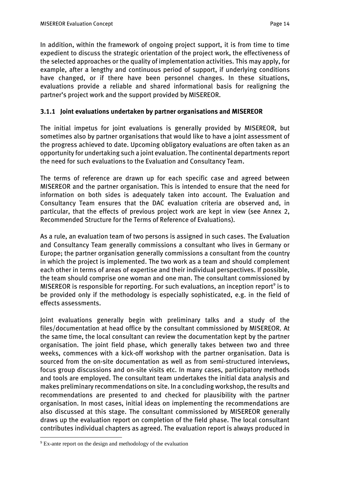In addition, within the framework of ongoing project support, it is from time to time *expedient to discuss the strategic orientation of the project work, the effectiveness of the selected approaches or the quality of implementation activities. This may apply, for example, after a lengthy and continuous period of support, if underlying conditions have changed, or if there have been personnel changes. In these situations, evaluations provide a reliable and shared informational basis for realigning the partner's project work and the support provided by MISEREOR.*

## *3.1.1 Joint evaluations undertaken by partner organisations and MISEREOR*

*The initial impetus for joint evaluations is generally provided by MISEREOR, but sometimes also by partner organisations that would like to have a joint assessment of the progress achieved to date. Upcoming obligatory evaluations are often taken as an opportunity for undertaking such a joint evaluation. The continental departments report the need for such evaluations to the Evaluation and Consultancy Team.*

*The terms of reference are drawn up for each specific case and agreed between MISEREOR and the partner organisation. This is intended to ensure that the need for information on both sides is adequately taken into account. The Evaluation and Consultancy Team ensures that the DAC evaluation criteria are observed and, in particular, that the effects of previous project work are kept in view (see Annex 2, Recommended Structure for the Terms of Reference of Evaluations).*

*As a rule, an evaluation team of two persons is assigned in such cases. The Evaluation and Consultancy Team generally commissions a consultant who lives in Germany or Europe; the partner organisation generally commissions a consultant from the country in which the project is implemented. The two work as a team and should complement each other in terms of areas of expertise and their individual perspectives. If possible, the team should comprise one woman and one man. The consultant commissioned by MISEREOR is responsible for reporting. For such evaluations, an inception report<sup>9</sup> is to be provided only if the methodology is especially sophisticated, e.g. in the field of effects assessments.*

*Joint evaluations generally begin with preliminary talks and a study of the files/documentation at head office by the consultant commissioned by MISEREOR. At the same time, the local consultant can review the documentation kept by the partner organisation. The joint field phase, which generally takes between two and three weeks, commences with a kick-off workshop with the partner organisation. Data is sourced from the on-site documentation as well as from semi-structured interviews, focus group discussions and on-site visits etc. In many cases, participatory methods and tools are employed. The consultant team undertakes the initial data analysis and makes preliminary recommendations on site. In a concluding workshop, the results and*  recommendations are presented to and checked for plausibility with the partner *organisation. In most cases, initial ideas on implementing the recommendations are also discussed at this stage. The consultant commissioned by MISEREOR generally draws up the evaluation report on completion of the field phase. The local consultant contributes individual chapters as agreed. The evaluation report is always produced in*   $\overline{a}$ 

<sup>&</sup>lt;sup>9</sup> Ex-ante report on the design and methodology of the evaluation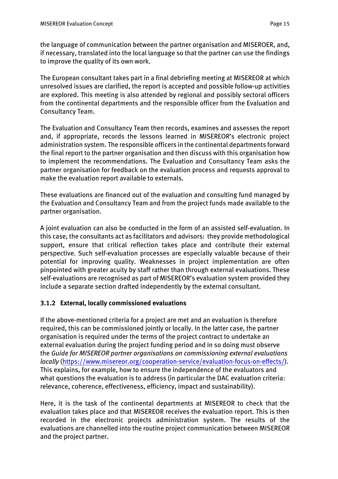*the language of communication between the partner organisation and MISEROER, and, if necessary, translated into the local language so that the partner can use the findings to improve the quality of its own work.*

*The European consultant takes part in a final debriefing meeting at MISEREOR at which unresolved issues are clarified, the report is accepted and possible follow-up activities are explored. This meeting is also attended by regional and possibly sectoral officers from the continental departments and the responsible officer from the Evaluation and Consultancy Team.* 

*The Evaluation and Consultancy Team then records, examines and assesses the report and, if appropriate, records the lessons learned in MISEREOR's electronic project administration system. The responsible officers in the continental departments forward the final report to the partner organisation and then discuss with this organisation how to implement the recommendations. The Evaluation and Consultancy Team asks the partner organisation for feedback on the evaluation process and requests approval to make the evaluation report available to externals.*

*These evaluations are financed out of the evaluation and consulting fund managed by the Evaluation and Consultancy Team and from the project funds made available to the partner organisation.*

*A joint evaluation can also be conducted in the form of an assisted self-evaluation. In this case, the consultants act as facilitators and advisors: they provide methodological support, ensure that critical reflection takes place and contribute their external perspective. Such self-evaluation processes are especially valuable because of their potential for improving quality. Weaknesses in project implementation are often pinpointed with greater acuity by staff rather than through external evaluations. These self-evaluations are recognised as part of MISEREOR's evaluation system provided they include a separate section drafted independently by the external consultant.*

## *3.1.2 External, locally commissioned evaluations*

*If the above-mentioned criteria for a project are met and an evaluation is therefore required, this can be commissioned jointly or locally. In the latter case, the partner organisation is required under the terms of the project contract to undertake an external evaluation during the project funding period and in so doing must observe the Guide for MISEREOR partner organisations on commissioning external evaluations locally [\(https://www.misereor.org/cooperation-service/evaluation-focus-on-effects/\)](https://www.misereor.org/cooperation-service/evaluation-focus-on-effects/). This explains, for example, how to ensure the independence of the evaluators and what questions the evaluation is to address (in particular the DAC evaluation criteria: relevance, coherence, effectiveness, efficiency, impact and sustainability).* 

*Here, it is the task of the continental departments at MISEREOR to check that the evaluation takes place and that MISEREOR receives the evaluation report. This is then recorded in the electronic projects administration system. The results of the evaluations are channelled into the routine project communication between MISEREOR and the project partner.*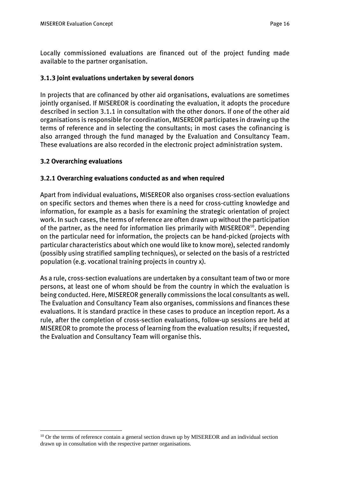*Locally commissioned evaluations are financed out of the project funding made available to the partner organisation.*

## *3.1.3 Joint evaluations undertaken by several donors*

*In projects that are cofinanced by other aid organisations, evaluations are sometimes jointly organised. If MISEREOR is coordinating the evaluation, it adopts the procedure described in section 3.1.1 in consultation with the other donors. If one of the other aid organisations is responsible for coordination, MISEREOR participates in drawing up the terms of reference and in selecting the consultants; in most cases the cofinancing is also arranged through the fund managed by the Evaluation and Consultancy Team. These evaluations are also recorded in the electronic project administration system.*

## *3.2 Overarching evaluations*

 $\overline{a}$ 

## *3.2.1 Overarching evaluations conducted as and when required*

*Apart from individual evaluations, MISEREOR also organises cross-section evaluations on specific sectors and themes when there is a need for cross-cutting knowledge and information, for example as a basis for examining the strategic orientation of project work. In such cases, the terms of reference are often drawn up without the participation of the partner, as the need for information lies primarily with MISEREOR<sup>10</sup>. Depending on the particular need for information, the projects can be hand-picked (projects with particular characteristics about which one would like to know more), selected randomly (possibly using stratified sampling techniques), or selected on the basis of a restricted population (e.g. vocational training projects in country x).*

*As a rule, cross-section evaluations are undertaken by a consultant team of two or more persons, at least one of whom should be from the country in which the evaluation is being conducted. Here, MISEREOR generally commissions the local consultants as well. The Evaluation and Consultancy Team also organises, commissions and finances these evaluations. It is standard practice in these cases to produce an inception report. As a rule, after the completion of cross-section evaluations, follow-up sessions are held at MISEREOR to promote the process of learning from the evaluation results; if requested, the Evaluation and Consultancy Team will organise this.*

<sup>&</sup>lt;sup>10</sup> Or the terms of reference contain a general section drawn up by MISEREOR and an individual section drawn up in consultation with the respective partner organisations.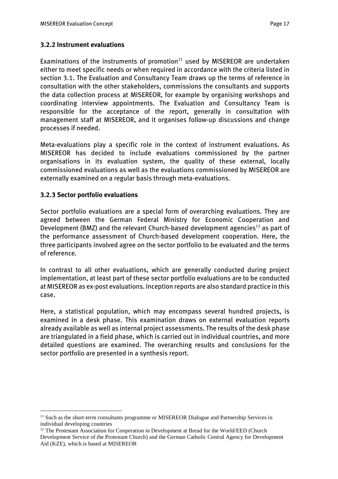## *3.2.2 Instrument evaluations*

*Examinations of the instruments of promotion<sup>11</sup> used by MISEREOR are undertaken either to meet specific needs or when required in accordance with the criteria listed in section 3.1. The Evaluation and Consultancy Team draws up the terms of reference in consultation with the other stakeholders, commissions the consultants and supports the data collection process at MISEREOR, for example by organising workshops and coordinating interview appointments. The Evaluation and Consultancy Team is responsible for the acceptance of the report, generally in consultation with management staff at MISEREOR, and it organises follow-up discussions and change processes if needed.* 

*Meta-evaluations play a specific role in the context of instrument evaluations. As MISEREOR has decided to include evaluations commissioned by the partner organisations in its evaluation system, the quality of these external, locally commissioned evaluations as well as the evaluations commissioned by MISEREOR are externally examined on a regular basis through meta-evaluations.*

## *3.2.3 Sector portfolio evaluations*

 $\overline{a}$ 

*Sector portfolio evaluations are a special form of overarching evaluations. They are agreed between the German Federal Ministry for Economic Cooperation and Development (BMZ) and the relevant Church-based development agencies<sup>12</sup> as part of the performance assessment of Church-based development cooperation. Here, the three participants involved agree on the sector portfolio to be evaluated and the terms of reference.* 

*In contrast to all other evaluations, which are generally conducted during project implementation, at least part of these sector portfolio evaluations are to be conducted at MISEREOR as ex-post evaluations. Inception reports are also standard practice in this case.*

*Here, a statistical population, which may encompass several hundred projects, is examined in a desk phase. This examination draws on external evaluation reports already available as well as internal project assessments. The results of the desk phase are triangulated in a field phase, which is carried out in individual countries, and more detailed questions are examined. The overarching results and conclusions for the sector portfolio are presented in a synthesis report.*

<sup>&</sup>lt;sup>11</sup> Such as the short-term consultants programme or MISEREOR Dialogue and Partnership Services in individual developing countries

<sup>&</sup>lt;sup>12</sup> The Protestant Association for Cooperation in Development at Bread for the World/EED (Church Development Service of the Protestant Church) and the German Catholic Central Agency for Development Aid (KZE), which is based at MISEREOR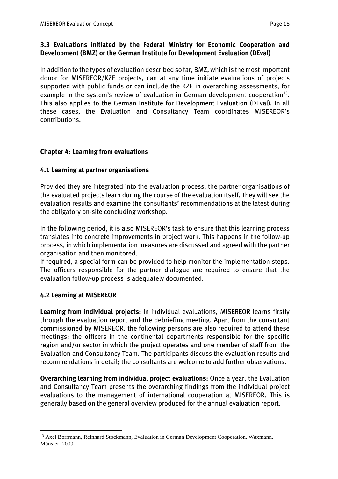## *3.3 Evaluations initiated by the Federal Ministry for Economic Cooperation and Development (BMZ) or the German Institute for Development Evaluation (DEval)*

*In addition to the types of evaluation described so far, BMZ, which is the most important donor for MISEREOR/KZE projects, can at any time initiate evaluations of projects supported with public funds or can include the KZE in overarching assessments, for example in the system's review of evaluation in German development cooperation<sup>13</sup> . This also applies to the German Institute for Development Evaluation (DEval). In all these cases, the Evaluation and Consultancy Team coordinates MISEREOR's contributions.*

## *Chapter 4: Learning from evaluations*

## *4.1 Learning at partner organisations*

*Provided they are integrated into the evaluation process, the partner organisations of the evaluated projects learn during the course of the evaluation itself. They will see the evaluation results and examine the consultants' recommendations at the latest during the obligatory on-site concluding workshop.* 

*In the following period, it is also MISEREOR's task to ensure that this learning process translates into concrete improvements in project work. This happens in the follow-up process, in which implementation measures are discussed and agreed with the partner organisation and then monitored.*

*If required, a special form can be provided to help monitor the implementation steps. The officers responsible for the partner dialogue are required to ensure that the evaluation follow-up process is adequately documented.*

## *4.2 Learning at MISEREOR*

 $\overline{a}$ 

*Learning from individual projects: In individual evaluations, MISEREOR learns firstly through the evaluation report and the debriefing meeting. Apart from the consultant commissioned by MISEREOR, the following persons are also required to attend these meetings: the officers in the continental departments responsible for the specific region and/or sector in which the project operates and one member of staff from the Evaluation and Consultancy Team. The participants discuss the evaluation results and recommendations in detail; the consultants are welcome to add further observations.*

*Overarching learning from individual project evaluations: Once a year, the Evaluation and Consultancy Team presents the overarching findings from the individual project evaluations to the management of international cooperation at MISEREOR. This is generally based on the general overview produced for the annual evaluation report.* 

<sup>&</sup>lt;sup>13</sup> Axel Borrmann, Reinhard Stockmann, Evaluation in German Development Cooperation, Waxmann, Münster, 2009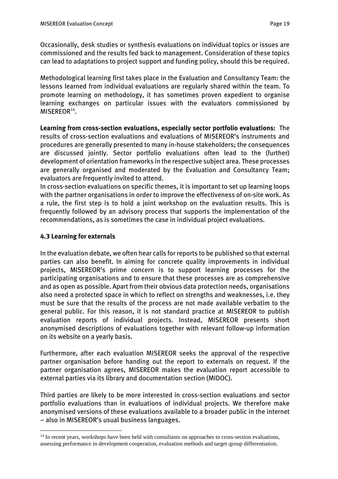*Occasionally, desk studies or synthesis evaluations on individual topics or issues are commissioned and the results fed back to management. Consideration of these topics can lead to adaptations to project support and funding policy, should this be required.* 

*Methodological learning first takes place in the Evaluation and Consultancy Team: the lessons learned from individual evaluations are regularly shared within the team. To promote learning on methodology, it has sometimes proven expedient to organise learning exchanges on particular issues with the evaluators commissioned by MISEREOR<sup>14</sup> .*

*Learning from cross-section evaluations, especially sector portfolio evaluations: The results of cross-section evaluations and evaluations of MISEREOR's instruments and procedures are generally presented to many in-house stakeholders; the consequences*  are discussed jointly. Sector portfolio evaluations often lead to the (further) *development of orientation frameworks in the respective subject area. These processes are generally organised and moderated by the Evaluation and Consultancy Team; evaluators are frequently invited to attend.*

*In cross-section evaluations on specific themes, it is important to set up learning loops with the partner organisations in order to improve the effectiveness of on-site work. As a rule, the first step is to hold a joint workshop on the evaluation results. This is frequently followed by an advisory process that supports the implementation of the recommendations, as is sometimes the case in individual project evaluations.*

## *4.3 Learning for externals*

 $\overline{a}$ 

*In the evaluation debate, we often hear calls for reports to be published so that external parties can also benefit. In aiming for concrete quality improvements in individual projects, MISEREOR's prime concern is to support learning processes for the participating organisations and to ensure that these processes are as comprehensive and as open as possible. Apart from their obvious data protection needs, organisations also need a protected space in which to reflect on strengths and weaknesses, i.e. they must be sure that the results of the process are not made available verbatim to the general public. For this reason, it is not standard practice at MISEREOR to publish evaluation reports of individual projects. Instead, MISEREOR presents short anonymised descriptions of evaluations together with relevant follow-up information on its website on a yearly basis.* 

*Furthermore, after each evaluation MISEREOR seeks the approval of the respective partner organisation before handing out the report to externals on request. If the partner organisation agrees, MISEREOR makes the evaluation report accessible to external parties via its library and documentation section (MIDOC).*

*Third parties are likely to be more interested in cross-section evaluations and sector portfolio evaluations than in evaluations of individual projects. We therefore make anonymised versions of these evaluations available to a broader public in the internet – also in MISEREOR's usual business languages.*

<sup>&</sup>lt;sup>14</sup> In recent years, workshops have been held with consultants on approaches to cross-section evaluations, assessing performance in development cooperation, evaluation methods and target-group differentiation.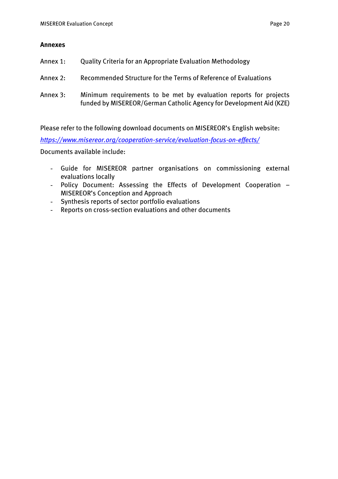### *Annexes*

- *Annex 1: Quality Criteria for an Appropriate Evaluation Methodology*
- *Annex 2: Recommended Structure for the Terms of Reference of Evaluations*
- *Annex 3: Minimum requirements to be met by evaluation reports for projects funded by MISEREOR/German Catholic Agency for Development Aid (KZE)*

*Please refer to the following download documents on MISEREOR's English website:*

*<https://www.misereor.org/cooperation-service/evaluation-focus-on-effects/>*

*Documents available include:*

- *Guide for MISEREOR partner organisations on commissioning external evaluations locally*
- *Policy Document: Assessing the Effects of Development Cooperation – MISEREOR's Conception and Approach*
- *Synthesis reports of sector portfolio evaluations*
- *Reports on cross-section evaluations and other documents*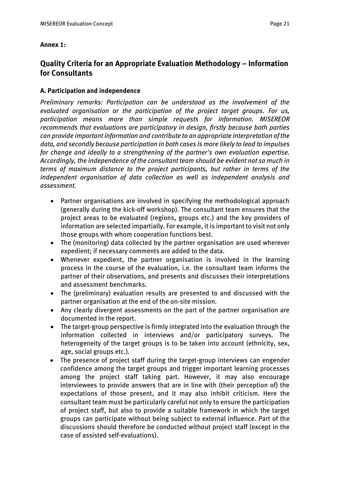### *Annex 1:*

## *Quality Criteria for an Appropriate Evaluation Methodology – Information for Consultants*

### *A. Participation and independence*

*Preliminary remarks: Participation can be understood as the involvement of the evaluated organisation or the participation of the project target groups. For us, participation means more than simple requests for information. MISEREOR recommends that evaluations are participatory in design, firstly because both parties can provide important information and contribute to an appropriate interpretation of the data, and secondly because participation in both cases is more likely to lead to impulses for change and ideally to a strengthening of the partner's own evaluation expertise. Accordingly, the independence of the consultant team should be evident not so much in terms of maximum distance to the project participants, but rather in terms of the independent organisation of data collection as well as independent analysis and assessment.*

- *Partner organisations are involved in specifying the methodological approach (generally during the kick-off workshop). The consultant team ensures that the project areas to be evaluated (regions, groups etc.) and the key providers of information are selected impartially. For example, it is important to visit not only those groups with whom cooperation functions best.*
- *The (monitoring) data collected by the partner organisation are used wherever expedient; if necessary comments are added to the data.*
- *Whenever expedient, the partner organisation is involved in the learning process in the course of the evaluation, i.e. the consultant team informs the partner of their observations, and presents and discusses their interpretations and assessment benchmarks.*
- *The (preliminary) evaluation results are presented to and discussed with the partner organisation at the end of the on-site mission.*
- *Any clearly divergent assessments on the part of the partner organisation are documented in the report.*
- *The target-group perspective is firmly integrated into the evaluation through the information collected in interviews and/or participatory surveys. The heterogeneity of the target groups is to be taken into account (ethnicity, sex, age, social groups etc.).*
- *The presence of project staff during the target-group interviews can engender confidence among the target groups and trigger important learning processes among the project staff taking part. However, it may also encourage interviewees to provide answers that are in line with (their perception of) the expectations of those present, and it may also inhibit criticism. Here the consultant team must be particularly careful not only to ensure the participation of project staff, but also to provide a suitable framework in which the target groups can participate without being subject to external influence. Part of the discussions should therefore be conducted without project staff (except in the case of assisted self-evaluations).*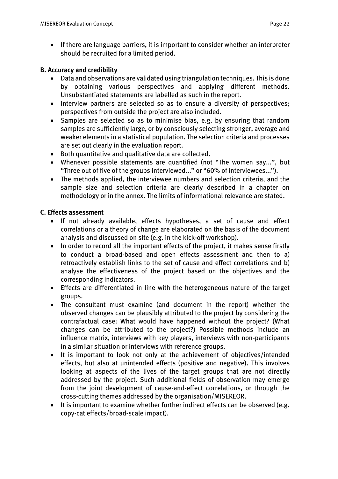• *If there are language barriers, it is important to consider whether an interpreter should be recruited for a limited period.*

### *B. Accuracy and credibility*

- *Data and observations are validated using triangulation techniques. This is done by obtaining various perspectives and applying different methods. Unsubstantiated statements are labelled as such in the report.*
- *Interview partners are selected so as to ensure a diversity of perspectives; perspectives from outside the project are also included.*
- *Samples are selected so as to minimise bias, e.g. by ensuring that random samples are sufficiently large, or by consciously selecting stronger, average and weaker elements in a statistical population. The selection criteria and processes are set out clearly in the evaluation report.*
- *Both quantitative and qualitative data are collected.*
- *Whenever possible statements are quantified (not "The women say...", but "Three out of five of the groups interviewed..." or "60% of interviewees...").*
- *The methods applied, the interviewee numbers and selection criteria, and the sample size and selection criteria are clearly described in a chapter on methodology or in the annex. The limits of informational relevance are stated.*

### *C. Effects assessment*

- *If not already available, effects hypotheses, a set of cause and effect correlations or a theory of change are elaborated on the basis of the document analysis and discussed on site (e.g. in the kick-off workshop).*
- *In order to record all the important effects of the project, it makes sense firstly to conduct a broad-based and open effects assessment and then to a) retroactively establish links to the set of cause and effect correlations and b) analyse the effectiveness of the project based on the objectives and the corresponding indicators.*
- *Effects are differentiated in line with the heterogeneous nature of the target groups.*
- *The consultant must examine (and document in the report) whether the observed changes can be plausibly attributed to the project by considering the contrafactual case: What would have happened without the project? (What changes can be attributed to the project?) Possible methods include an influence matrix, interviews with key players, interviews with non-participants in a similar situation or interviews with reference groups.*
- *It is important to look not only at the achievement of objectives/intended effects, but also at unintended effects (positive and negative). This involves looking at aspects of the lives of the target groups that are not directly addressed by the project. Such additional fields of observation may emerge from the joint development of cause-and-effect correlations, or through the cross-cutting themes addressed by the organisation/MISEREOR.*
- *It is important to examine whether further indirect effects can be observed (e.g. copy-cat effects/broad-scale impact).*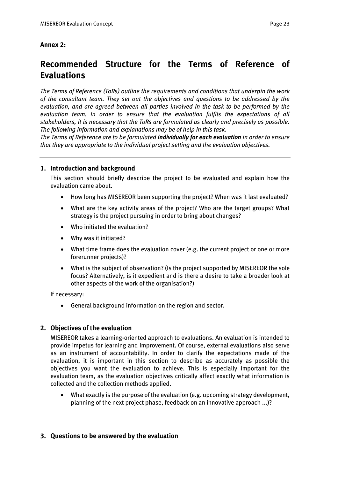### *Annex 2:*

# *Recommended Structure for the Terms of Reference of Evaluations*

*The Terms of Reference (ToRs) outline the requirements and conditions that underpin the work of the consultant team. They set out the objectives and questions to be addressed by the evaluation, and are agreed between all parties involved in the task to be performed by the evaluation team. In order to ensure that the evaluation fulfils the expectations of all stakeholders, it is necessary that the ToRs are formulated as clearly and precisely as possible. The following information and explanations may be of help in this task.*

*The Terms of Reference are to be formulated individually for each evaluation in order to ensure that they are appropriate to the individual project setting and the evaluation objectives.*

### *1. Introduction and background*

*This section should briefly describe the project to be evaluated and explain how the evaluation came about.*

- *How long has MISEREOR been supporting the project? When was it last evaluated?*
- *What are the key activity areas of the project? Who are the target groups? What strategy is the project pursuing in order to bring about changes?*
- *Who initiated the evaluation?*
- *Why was it initiated?*
- *What time frame does the evaluation cover (e.g. the current project or one or more forerunner projects)?*
- *What is the subject of observation? (Is the project supported by MISEREOR the sole focus? Alternatively, is it expedient and is there a desire to take a broader look at other aspects of the work of the organisation?)*

*If necessary:*

• *General background information on the region and sector.* 

### *2. Objectives of the evaluation*

*MISEREOR takes a learning-oriented approach to evaluations. An evaluation is intended to provide impetus for learning and improvement. Of course, external evaluations also serve as an instrument of accountability. In order to clarify the expectations made of the evaluation, it is important in this section to describe as accurately as possible the objectives you want the evaluation to achieve. This is especially important for the evaluation team, as the evaluation objectives critically affect exactly what information is collected and the collection methods applied.* 

• *What exactly is the purpose of the evaluation (e.g. upcoming strategy development, planning of the next project phase, feedback on an innovative approach ...)?*

### *3. Questions to be answered by the evaluation*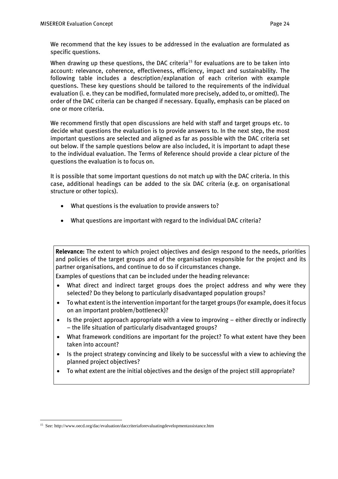*We recommend that the key issues to be addressed in the evaluation are formulated as specific questions.* 

*When drawing up these questions, the DAC criteria<sup>15</sup> for evaluations are to be taken into account: relevance, coherence, effectiveness, efficiency, impact and sustainability. The following table includes a description/explanation of each criterion with example questions. These key questions should be tailored to the requirements of the individual evaluation (i. e. they can be modified, formulated more precisely, added to, or omitted). The order of the DAC criteria can be changed if necessary. Equally, emphasis can be placed on one or more criteria.* 

*We recommend firstly that open discussions are held with staff and target groups etc. to decide what questions the evaluation is to provide answers to. In the next step, the most important questions are selected and aligned as far as possible with the DAC criteria set out below. If the sample questions below are also included, it is important to adapt these to the individual evaluation. The Terms of Reference should provide a clear picture of the questions the evaluation is to focus on.* 

*It is possible that some important questions do not match up with the DAC criteria. In this case, additional headings can be added to the six DAC criteria (e.g. on organisational structure or other topics).*

- *What questions is the evaluation to provide answers to?*
- *What questions are important with regard to the individual DAC criteria?*

*Relevance: The extent to which project objectives and design respond to the needs, priorities and policies of the target groups and of the organisation responsible for the project and its partner organisations, and continue to do so if circumstances change.* 

*Examples of questions that can be included under the heading relevance:* 

- *What direct and indirect target groups does the project address and why were they selected? Do they belong to particularly disadvantaged population groups?*
- *To what extent is the intervention important for the target groups (for example, does it focus on an important problem/bottleneck)?*
- *Is the project approach appropriate with a view to improving – either directly or indirectly – the life situation of particularly disadvantaged groups?*
- *What framework conditions are important for the project? To what extent have they been taken into account?*
- *Is the project strategy convincing and likely to be successful with a view to achieving the planned project objectives?*
- *To what extent are the initial objectives and the design of the project still appropriate?*

<sup>15</sup> See[: http://www.oecd.org/dac/evaluation/daccriteriaforevaluatingdevelopmentassistance.htm](http://www.oecd.org/dac/evaluation/daccriteriaforevaluatingdevelopmentassistance.htm)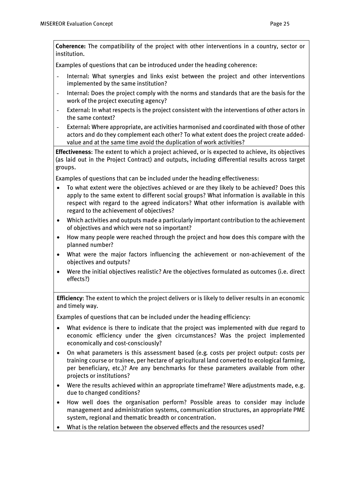*Coherence: The compatibility of the project with other interventions in a country, sector or institution.*

*Examples of questions that can be introduced under the heading coherence:*

- *Internal: What synergies and links exist between the project and other interventions implemented by the same institution?*
- *Internal: Does the project comply with the norms and standards that are the basis for the work of the project executing agency?*
- *External: In what respects is the project consistent with the interventions of other actors in the same context?*
- *External: Where appropriate, are activities harmonised and coordinated with those of other actors and do they complement each other? To what extent does the project create addedvalue and at the same time avoid the duplication of work activities?*

*Effectiveness: The extent to which a project achieved, or is expected to achieve, its objectives (as laid out in the Project Contract) and outputs, including differential results across target groups.* 

*Examples of questions that can be included under the heading effectiveness:*

- *To what extent were the objectives achieved or are they likely to be achieved? Does this apply to the same extent to different social groups? What information is available in this respect with regard to the agreed indicators? What other information is available with regard to the achievement of objectives?*
- *Which activities and outputs made a particularly important contribution to the achievement of objectives and which were not so important?*
- *How many people were reached through the project and how does this compare with the planned number?*
- *What were the major factors influencing the achievement or non-achievement of the objectives and outputs?*
- *Were the initial objectives realistic? Are the objectives formulated as outcomes (i.e. direct effects?)*

*Efficiency: The extent to which the project delivers or is likely to deliver results in an economic and timely way.* 

*Examples of questions that can be included under the heading efficiency:*

- *What evidence is there to indicate that the project was implemented with due regard to economic efficiency under the given circumstances? Was the project implemented economically and cost-consciously?*
- *On what parameters is this assessment based (e.g. costs per project output: costs per training course or trainee, per hectare of agricultural land converted to ecological farming, per beneficiary, etc.)? Are any benchmarks for these parameters available from other projects or institutions?*
- *Were the results achieved within an appropriate timeframe? Were adjustments made, e.g. due to changed conditions?*
- *How well does the organisation perform? Possible areas to consider may include management and administration systems, communication structures, an appropriate PME system, regional and thematic breadth or concentration.*
- *What is the relation between the observed effects and the resources used?*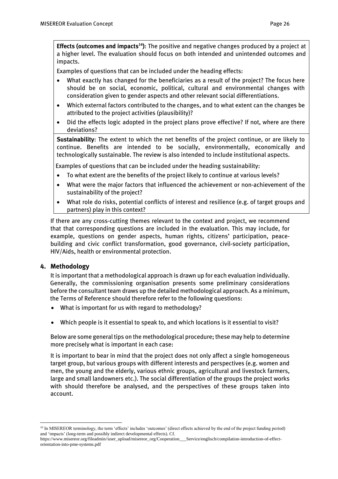*Effects (outcomes and impacts<sup>16</sup>): The positive and negative changes produced by a project at a higher level. The evaluation should focus on both intended and unintended outcomes and impacts.*

*Examples of questions that can be included under the heading effects:*

- *What exactly has changed for the beneficiaries as a result of the project? The focus here should be on social, economic, political, cultural and environmental changes with consideration given to gender aspects and other relevant social differentiations.*
- *Which external factors contributed to the changes, and to what extent can the changes be attributed to the project activities (plausibility)?*
- *Did the effects logic adopted in the project plans prove effective? If not, where are there deviations?*

*Sustainability: The extent to which the net benefits of the project continue, or are likely to continue. Benefits are intended to be socially, environmentally, economically and technologically sustainable. The review is also intended to include institutional aspects.*

*Examples of questions that can be included under the heading sustainability:*

- *To what extent are the benefits of the project likely to continue at various levels?*
- *What were the major factors that influenced the achievement or non-achievement of the sustainability of the project?*
- *What role do risks, potential conflicts of interest and resilience (e.g. of target groups and partners) play in this context?*

*If there are any cross-cutting themes relevant to the context and project, we recommend that that corresponding questions are included in the evaluation. This may include, for example, questions on gender aspects, human rights, citizens' participation, peacebuilding and civic conflict transformation, good governance, civil-society participation, HIV/Aids, health or environmental protection.*

### *4. Methodology*

*It is important that a methodological approach is drawn up for each evaluation individually. Generally, the commissioning organisation presents some preliminary considerations before the consultant team draws up the detailed methodological approach. As a minimum, the Terms of Reference should therefore refer to the following questions:*

- *What is important for us with regard to methodology?*
- *Which people is it essential to speak to, and which locations is it essential to visit?*

*Below are some general tips on the methodological procedure; these may help to determine more precisely what is important in each case:*

*It is important to bear in mind that the project does not only affect a single homogeneous target group, but various groups with different interests and perspectives (e.g. women and men, the young and the elderly, various ethnic groups, agricultural and livestock farmers, large and small landowners etc.). The social differentiation of the groups the project works with should therefore be analysed, and the perspectives of these groups taken into account.* 

 $\overline{a}$ <sup>16</sup> In MISEREOR terminology, the term 'effects' includes 'outcomes' (direct effects achieved by the end of the project funding period) and 'impacts' (long-term and possibly indirect developmental effects). Cf.

https://www.misereor.org/fileadmin//user\_upload/misereor\_org/Cooperation\_\_\_Service/englisch/compilation-introduction-of-effectorientation-into-pme-systems.pdf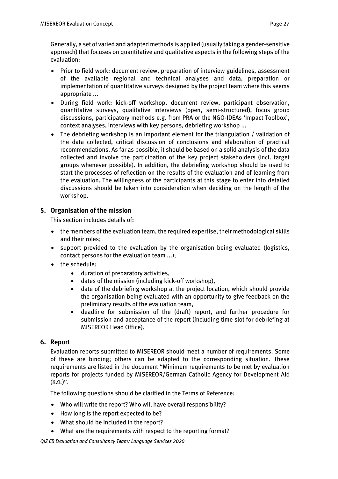*Generally, a set of varied and adapted methods is applied (usually taking a gender-sensitive approach) that focuses on quantitative and qualitative aspects in the following steps of the evaluation:* 

- *Prior to field work: document review, preparation of interview guidelines, assessment of the available regional and technical analyses and data, preparation or implementation of quantitative surveys designed by the project team where this seems appropriate ...*
- *During field work: kick-off workshop, document review, participant observation, quantitative surveys, qualitative interviews (open, semi-structured), focus group discussions, participatory methods e.g. from PRA or the NGO-IDEAs 'Impact Toolbox', context analyses, interviews with key persons, debriefing workshop ...*
- *The debriefing workshop is an important element for the triangulation / validation of the data collected, critical discussion of conclusions and elaboration of practical recommendations. As far as possible, it should be based on a solid analysis of the data collected and involve the participation of the key project stakeholders (incl. target groups whenever possible). In addition, the debriefing workshop should be used to start the processes of reflection on the results of the evaluation and of learning from the evaluation. The willingness of the participants at this stage to enter into detailed discussions should be taken into consideration when deciding on the length of the workshop.*

## *5. Organisation of the mission*

*This section includes details of:*

- *the members of the evaluation team, the required expertise, their methodological skills and their roles;*
- *support provided to the evaluation by the organisation being evaluated (logistics, contact persons for the evaluation team ...);*
- *the schedule:* 
	- *duration of preparatory activities,*
	- *dates of the mission (including kick-off workshop),*
	- *date of the debriefing workshop at the project location, which should provide the organisation being evaluated with an opportunity to give feedback on the preliminary results of the evaluation team,*
	- *deadline for submission of the (draft) report, and further procedure for submission and acceptance of the report (including time slot for debriefing at MISEREOR Head Office).*

### *6. Report*

*Evaluation reports submitted to MISEREOR should meet a number of requirements. Some of these are binding; others can be adapted to the corresponding situation. These requirements are listed in the document "Minimum requirements to be met by evaluation reports for projects funded by MISEREOR/German Catholic Agency for Development Aid (KZE)".*

*The following questions should be clarified in the Terms of Reference:*

- *Who will write the report? Who will have overall responsibility?*
- *How long is the report expected to be?*
- *What should be included in the report?*
- *What are the requirements with respect to the reporting format?*

*QIZ EB Evaluation and Consultancy Team/ Language Services 2020*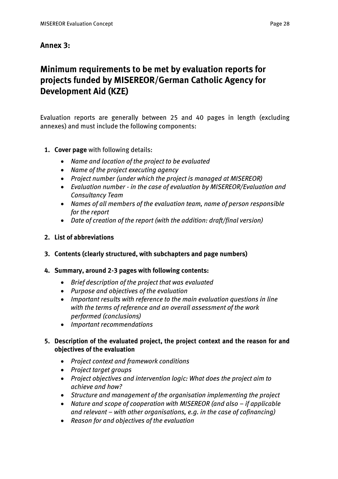## *Annex 3:*

# *Minimum requirements to be met by evaluation reports for projects funded by MISEREOR/German Catholic Agency for Development Aid (KZE)*

*Evaluation reports are generally between 25 and 40 pages in length (excluding annexes) and must include the following components:*

- *1. Cover page with following details:*
	- *Name and location of the project to be evaluated*
	- *Name of the project executing agency*
	- *Project number (under which the project is managed at MISEREOR)*
	- *Evaluation number - in the case of evaluation by MISEREOR/Evaluation and Consultancy Team*
	- *Names of all members of the evaluation team, name of person responsible for the report*
	- *Date of creation of the report (with the addition: draft/final version)*
- *2. List of abbreviations*
- *3. Contents (clearly structured, with subchapters and page numbers)*

### *4. Summary, around 2-3 pages with following contents:*

- *Brief description of the project that was evaluated*
- *Purpose and objectives of the evaluation*
- *Important results with reference to the main evaluation questions in line with the terms of reference and an overall assessment of the work performed (conclusions)*
- *Important recommendations*

## *5. Description of the evaluated project, the project context and the reason for and objectives of the evaluation*

- *Project context and framework conditions*
- *Project target groups*
- *Project objectives and intervention logic: What does the project aim to achieve and how?*
- *Structure and management of the organisation implementing the project*
- Nature and scope of cooperation with MISEREOR (and also *if applicable and relevant – with other organisations, e.g. in the case of cofinancing)*
- *Reason for and objectives of the evaluation*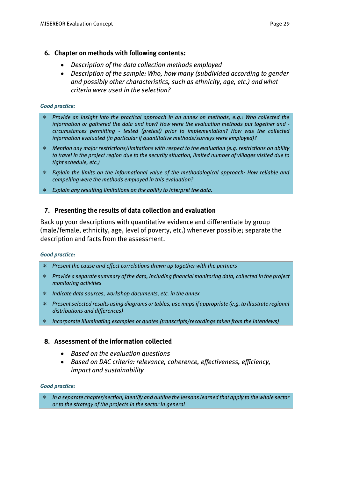### *6. Chapter on methods with following contents:*

- *Description of the data collection methods employed*
- *Description of the sample: Who, how many (subdivided according to gender and possibly other characteristics, such as ethnicity, age, etc.) and what criteria were used in the selection?*

#### *Good practice:*

- *Provide an insight into the practical approach in an annex on methods, e.g.: Who collected the information or gathered the data and how? How were the evaluation methods put together and circumstances permitting - tested (pretest) prior to implementation? How was the collected information evaluated (in particular if quantitative methods/surveys were employed)?*
- *Mention any major restrictions/limitations with respect to the evaluation (e.g. restrictions on ability to travel in the project region due to the security situation, limited number of villages visited due to tight schedule, etc.)*
- *Explain the limits on the informational value of the methodological approach: How reliable and compelling were the methods employed in this evaluation?*
- *Explain any resulting limitations on the ability to interpret the data.*

### *7. Presenting the results of data collection and evaluation*

*Back up your descriptions with quantitative evidence and differentiate by group (male/female, ethnicity, age, level of poverty, etc.) whenever possible; separate the description and facts from the assessment.*

#### *Good practice:*

- *Present the cause and effect correlations drawn up together with the partners*
- *Provide a separate summary of the data, including financial monitoring data, collected in the project monitoring activities*
- *Indicate data sources, workshop documents, etc. in the annex*
- *Present selected results using diagrams or tables, use maps if appropriate (e.g. to illustrate regional distributions and differences)*
- *Incorporate illuminating examples or quotes (transcripts/recordings taken from the interviews)*

### *8. Assessment of the information collected*

- *Based on the evaluation questions*
- *Based on DAC criteria: relevance, coherence, effectiveness, efficiency, impact and sustainability*

#### *Good practice:*

 *In a separate chapter/section, identify and outline the lessons learned that apply to the whole sector or to the strategy of the projects in the sector in general*